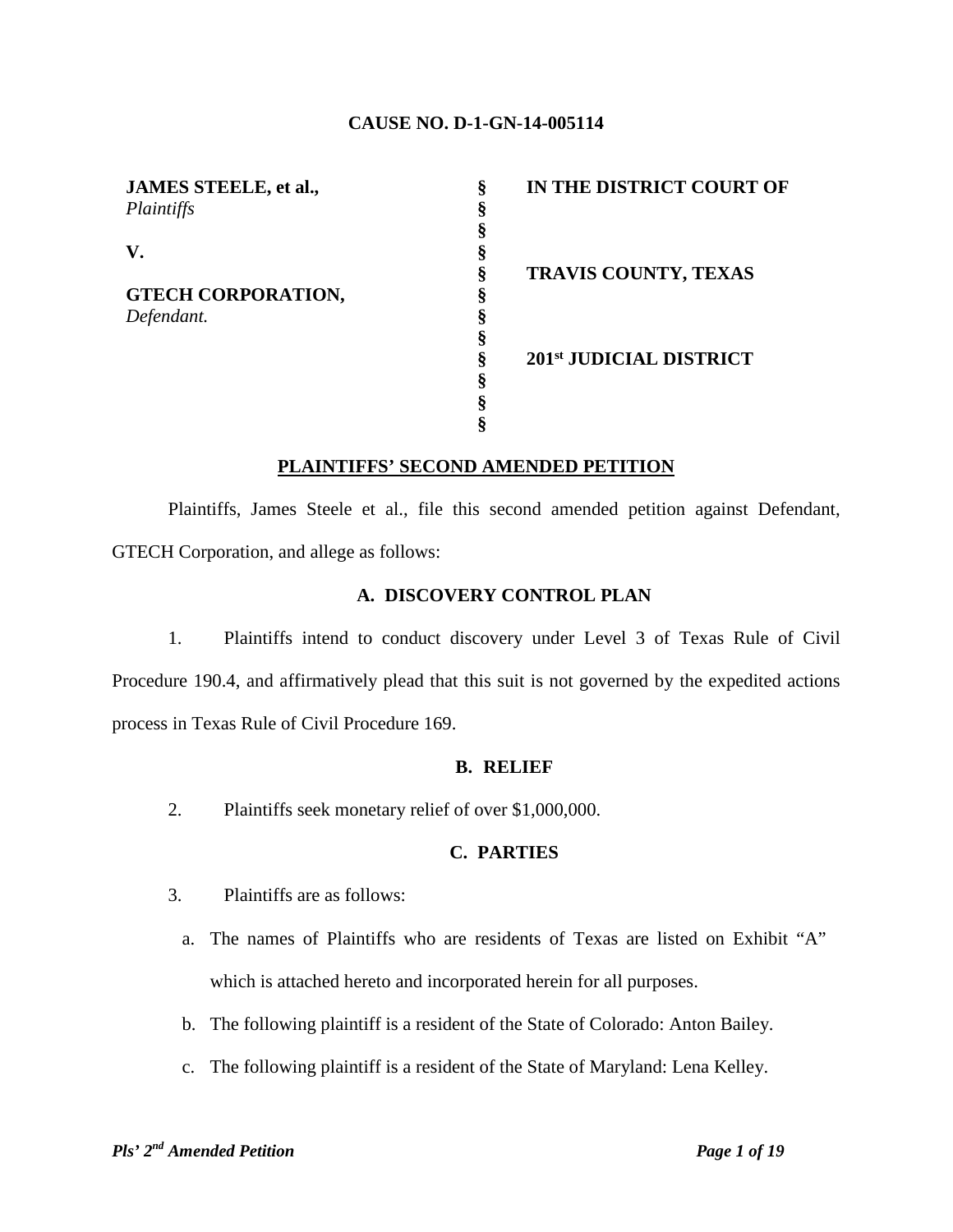#### **CAUSE NO. D-1-GN-14-005114**

| JAMES STEELE, et al.,     | ş | IN THE DISTRICT COURT OF |
|---------------------------|---|--------------------------|
| Plaintiffs                |   |                          |
|                           |   |                          |
| V.                        |   |                          |
|                           | ş | TRAVIS COUNTY, TEXAS     |
| <b>GTECH CORPORATION,</b> |   |                          |
| Defendant.                |   |                          |
|                           |   |                          |
|                           |   | 201st JUDICIAL DISTRICT  |
|                           | Ò |                          |
|                           |   |                          |
|                           |   |                          |

#### **PLAINTIFFS' SECOND AMENDED PETITION**

Plaintiffs, James Steele et al., file this second amended petition against Defendant, GTECH Corporation, and allege as follows:

#### **A. DISCOVERY CONTROL PLAN**

1. Plaintiffs intend to conduct discovery under Level 3 of Texas Rule of Civil Procedure 190.4, and affirmatively plead that this suit is not governed by the expedited actions process in Texas Rule of Civil Procedure 169.

#### **B. RELIEF**

2. Plaintiffs seek monetary relief of over \$1,000,000.

## **C. PARTIES**

- 3. Plaintiffs are as follows:
	- a. The names of Plaintiffs who are residents of Texas are listed on Exhibit "A" which is attached hereto and incorporated herein for all purposes.
	- b. The following plaintiff is a resident of the State of Colorado: Anton Bailey.
	- c. The following plaintiff is a resident of the State of Maryland: Lena Kelley.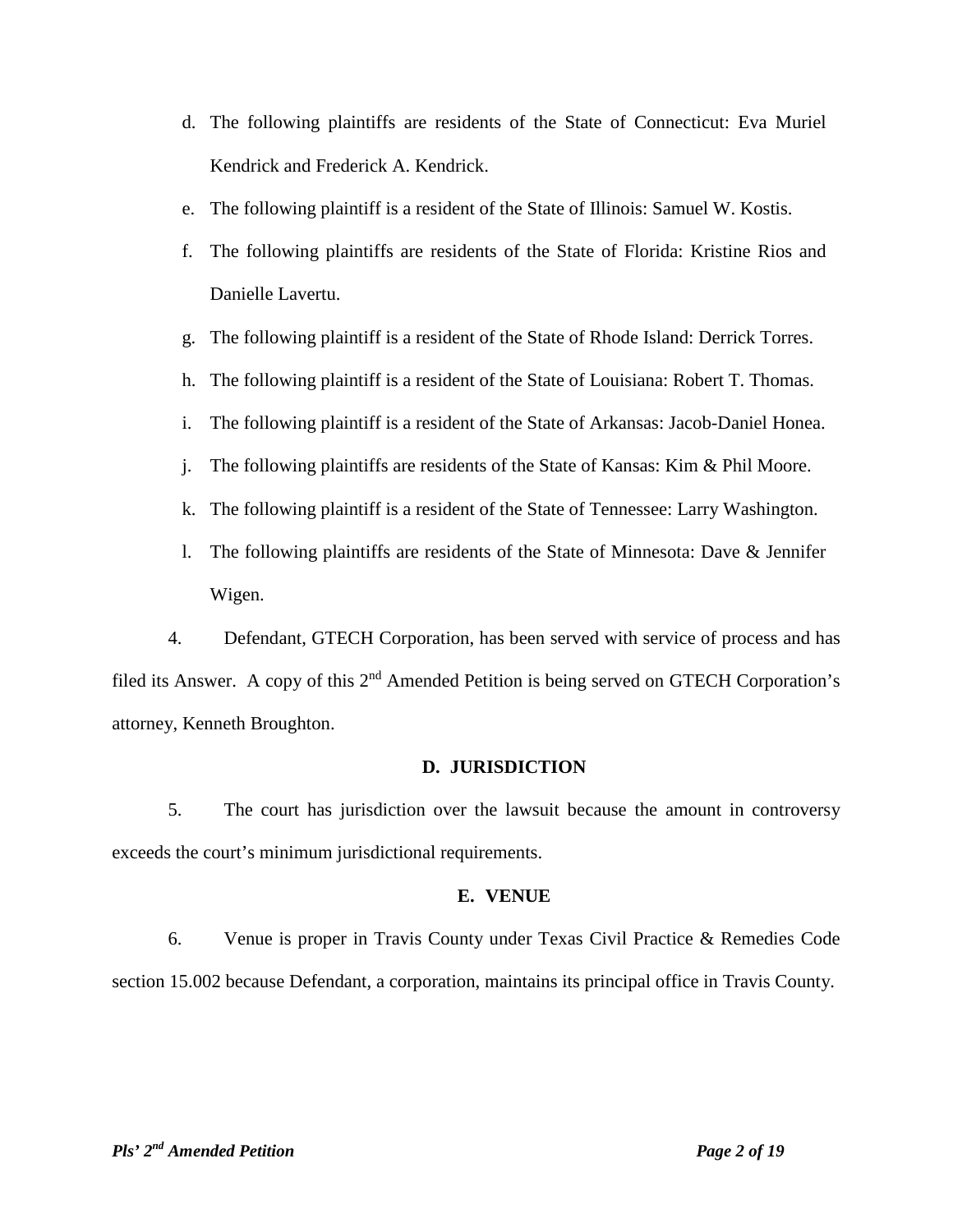- d. The following plaintiffs are residents of the State of Connecticut: Eva Muriel Kendrick and Frederick A. Kendrick.
- e. The following plaintiff is a resident of the State of Illinois: Samuel W. Kostis.
- f. The following plaintiffs are residents of the State of Florida: Kristine Rios and Danielle Lavertu.
- g. The following plaintiff is a resident of the State of Rhode Island: Derrick Torres.
- h. The following plaintiff is a resident of the State of Louisiana: Robert T. Thomas.
- i. The following plaintiff is a resident of the State of Arkansas: Jacob-Daniel Honea.
- j. The following plaintiffs are residents of the State of Kansas: Kim & Phil Moore.
- k. The following plaintiff is a resident of the State of Tennessee: Larry Washington.
- l. The following plaintiffs are residents of the State of Minnesota: Dave & Jennifer Wigen.

4. Defendant, GTECH Corporation, has been served with service of process and has filed its Answer. A copy of this 2<sup>nd</sup> Amended Petition is being served on GTECH Corporation's attorney, Kenneth Broughton.

#### **D. JURISDICTION**

5. The court has jurisdiction over the lawsuit because the amount in controversy exceeds the court's minimum jurisdictional requirements.

#### **E. VENUE**

6. Venue is proper in Travis County under Texas Civil Practice & Remedies Code section 15.002 because Defendant, a corporation, maintains its principal office in Travis County.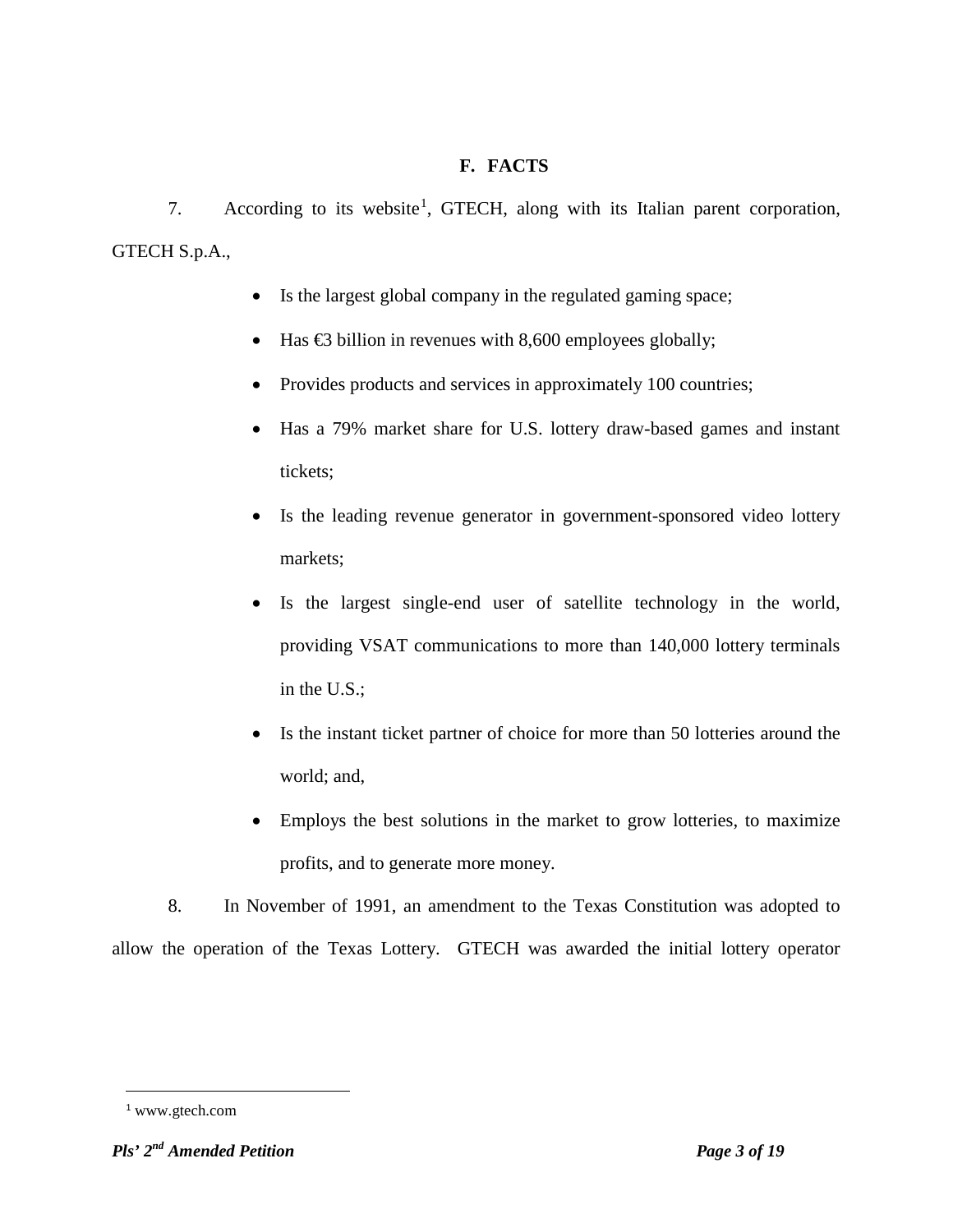# **F. FACTS**

7. According to its website<sup>[1](#page-2-0)</sup>, GTECH, along with its Italian parent corporation, GTECH S.p.A.,

- Is the largest global company in the regulated gaming space;
- Has  $\bigoplus$  billion in revenues with 8,600 employees globally;
- Provides products and services in approximately 100 countries;
- Has a 79% market share for U.S. lottery draw-based games and instant tickets;
- Is the leading revenue generator in government-sponsored video lottery markets;
- Is the largest single-end user of satellite technology in the world, providing VSAT communications to more than 140,000 lottery terminals in the U.S.;
- Is the instant ticket partner of choice for more than 50 lotteries around the world; and,
- Employs the best solutions in the market to grow lotteries, to maximize profits, and to generate more money.

8. In November of 1991, an amendment to the Texas Constitution was adopted to allow the operation of the Texas Lottery. GTECH was awarded the initial lottery operator

 $\overline{a}$ 

<span id="page-2-0"></span><sup>1</sup> www.gtech.com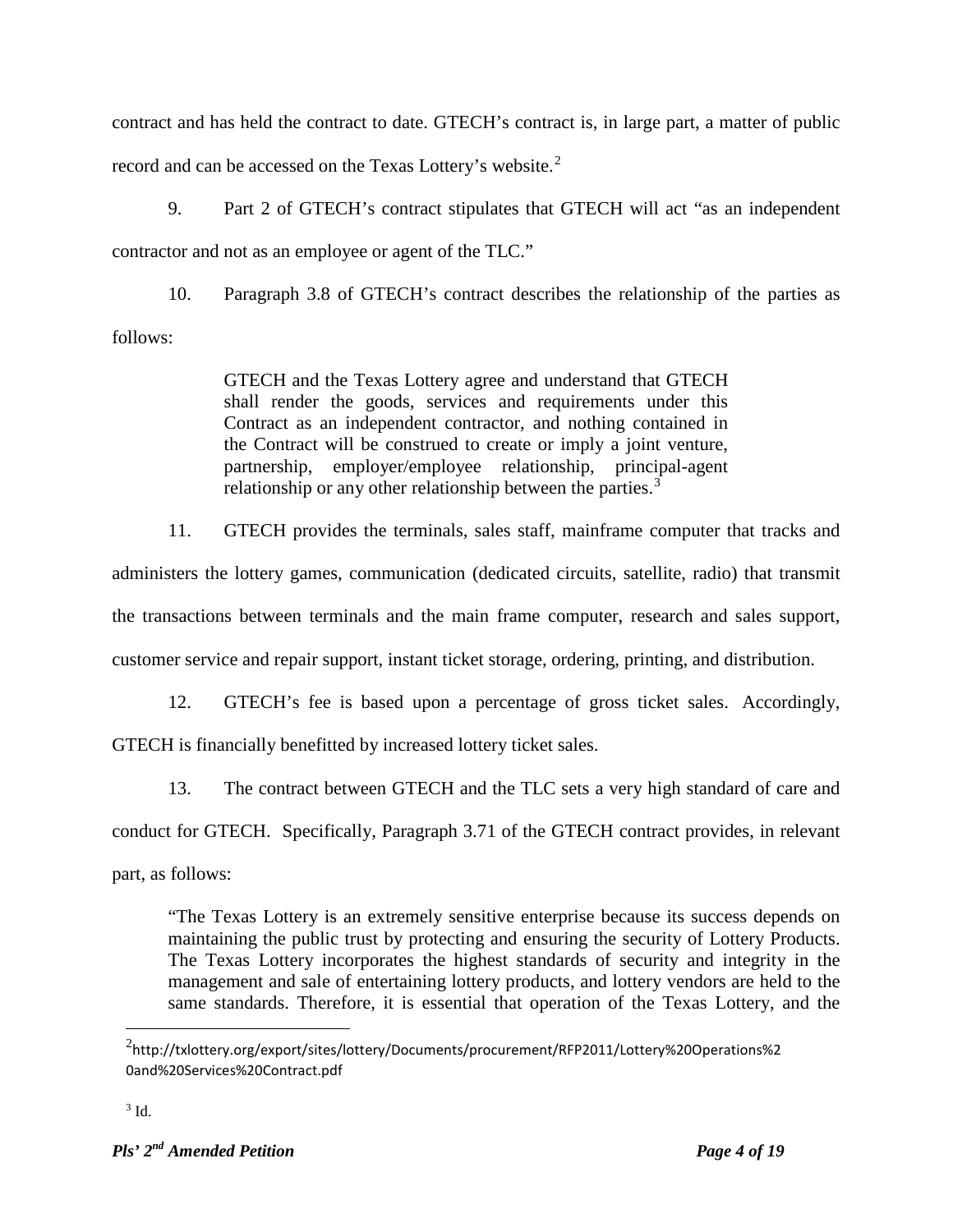contract and has held the contract to date. GTECH's contract is, in large part, a matter of public record and can be accessed on the Texas Lottery's website.<sup>[2](#page-3-0)</sup>

9. Part 2 of GTECH's contract stipulates that GTECH will act "as an independent contractor and not as an employee or agent of the TLC."

10. Paragraph 3.8 of GTECH's contract describes the relationship of the parties as follows:

> GTECH and the Texas Lottery agree and understand that GTECH shall render the goods, services and requirements under this Contract as an independent contractor, and nothing contained in the Contract will be construed to create or imply a joint venture, partnership, employer/employee relationship, principal-agent relationship or any other relationship between the parties.<sup>[3](#page-3-1)</sup>

11. GTECH provides the terminals, sales staff, mainframe computer that tracks and

administers the lottery games, communication (dedicated circuits, satellite, radio) that transmit the transactions between terminals and the main frame computer, research and sales support, customer service and repair support, instant ticket storage, ordering, printing, and distribution.

12. GTECH's fee is based upon a percentage of gross ticket sales. Accordingly, GTECH is financially benefitted by increased lottery ticket sales.

13. The contract between GTECH and the TLC sets a very high standard of care and

conduct for GTECH. Specifically, Paragraph 3.71 of the GTECH contract provides, in relevant

part, as follows:

"The Texas Lottery is an extremely sensitive enterprise because its success depends on maintaining the public trust by protecting and ensuring the security of Lottery Products. The Texas Lottery incorporates the highest standards of security and integrity in the management and sale of entertaining lottery products, and lottery vendors are held to the same standards. Therefore, it is essential that operation of the Texas Lottery, and the

 $\overline{a}$ 

<span id="page-3-0"></span><sup>2</sup> http://txlottery.org/export/sites/lottery/Documents/procurement/RFP2011/Lottery%20Operations%2 0and%20Services%20Contract.pdf

<span id="page-3-1"></span> $3$  Id.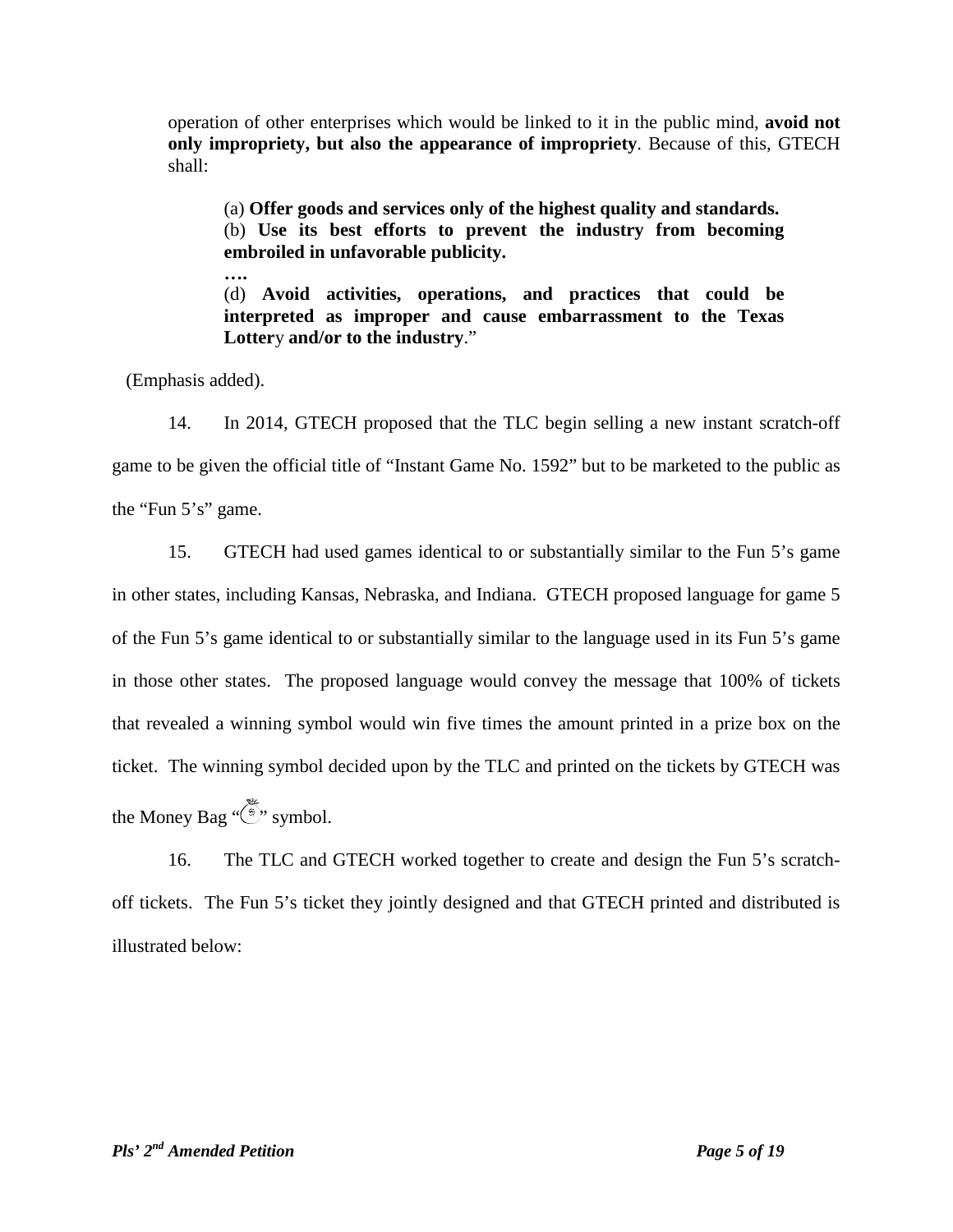operation of other enterprises which would be linked to it in the public mind, **avoid not only impropriety, but also the appearance of impropriety**. Because of this, GTECH shall:

(a) **Offer goods and services only of the highest quality and standards.** (b) **Use its best efforts to prevent the industry from becoming embroiled in unfavorable publicity.** 

**….** (d) **Avoid activities, operations, and practices that could be interpreted as improper and cause embarrassment to the Texas Lotter**y **and/or to the industry**."

(Emphasis added).

14. In 2014, GTECH proposed that the TLC begin selling a new instant scratch-off game to be given the official title of "Instant Game No. 1592" but to be marketed to the public as the "Fun 5's" game.

15. GTECH had used games identical to or substantially similar to the Fun 5's game in other states, including Kansas, Nebraska, and Indiana. GTECH proposed language for game 5 of the Fun 5's game identical to or substantially similar to the language used in its Fun 5's game in those other states. The proposed language would convey the message that 100% of tickets that revealed a winning symbol would win five times the amount printed in a prize box on the ticket. The winning symbol decided upon by the TLC and printed on the tickets by GTECH was the Money Bag  $\sqrt{\frac{2}{3}}$  symbol.

16. The TLC and GTECH worked together to create and design the Fun 5's scratchoff tickets. The Fun 5's ticket they jointly designed and that GTECH printed and distributed is illustrated below: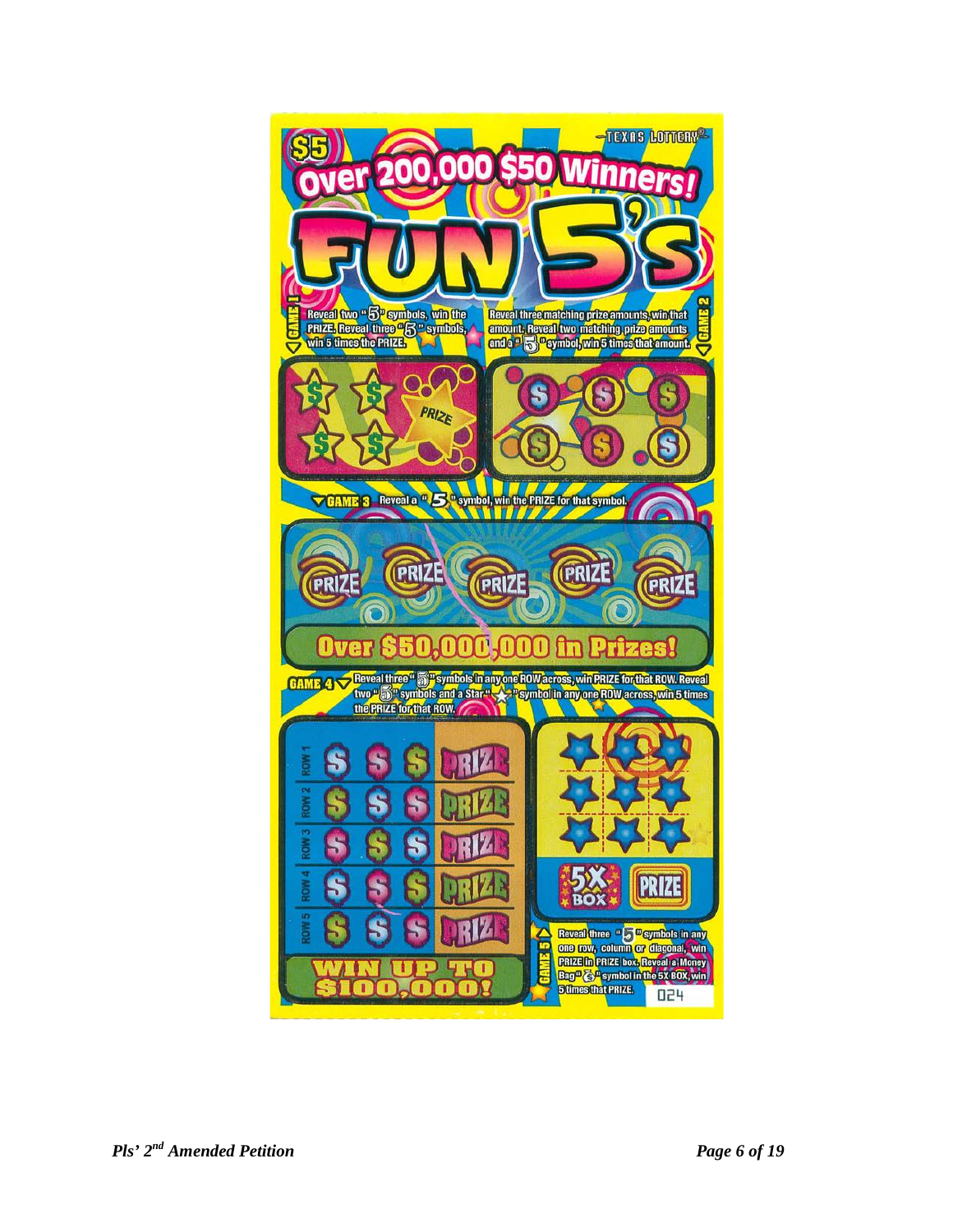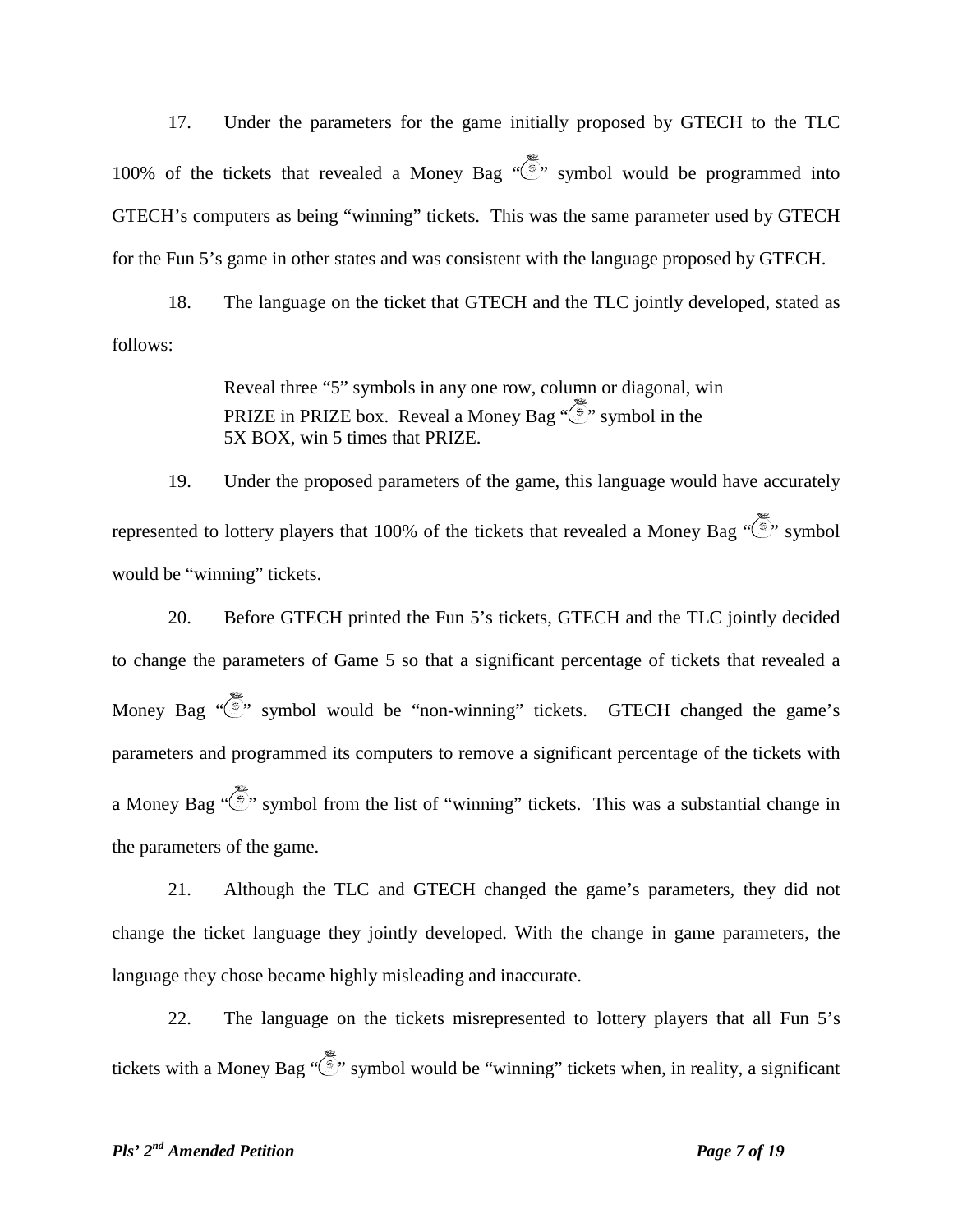17. Under the parameters for the game initially proposed by GTECH to the TLC 100% of the tickets that revealed a Money Bag  $\overline{\mathbb{R}}$  symbol would be programmed into GTECH's computers as being "winning" tickets. This was the same parameter used by GTECH for the Fun 5's game in other states and was consistent with the language proposed by GTECH.

18. The language on the ticket that GTECH and the TLC jointly developed, stated as follows:

> Reveal three "5" symbols in any one row, column or diagonal, win PRIZE in PRIZE box. Reveal a Money Bag  $\sqrt{\epsilon}$  symbol in the 5X BOX, win 5 times that PRIZE.

19. Under the proposed parameters of the game, this language would have accurately represented to lottery players that 100% of the tickets that revealed a Money Bag  $\sqrt{\frac{2}{3}}$  symbol would be "winning" tickets.

20. Before GTECH printed the Fun 5's tickets, GTECH and the TLC jointly decided to change the parameters of Game 5 so that a significant percentage of tickets that revealed a Money Bag  $\sqrt{\frac{2}{3}}$  symbol would be "non-winning" tickets. GTECH changed the game's parameters and programmed its computers to remove a significant percentage of the tickets with a Money Bag " $\langle \overline{\hat{\xi}} \rangle$ " symbol from the list of "winning" tickets. This was a substantial change in the parameters of the game.

21. Although the TLC and GTECH changed the game's parameters, they did not change the ticket language they jointly developed. With the change in game parameters, the language they chose became highly misleading and inaccurate.

22. The language on the tickets misrepresented to lottery players that all Fun 5's tickets with a Money Bag " $\langle \xi \rangle$ " symbol would be "winning" tickets when, in reality, a significant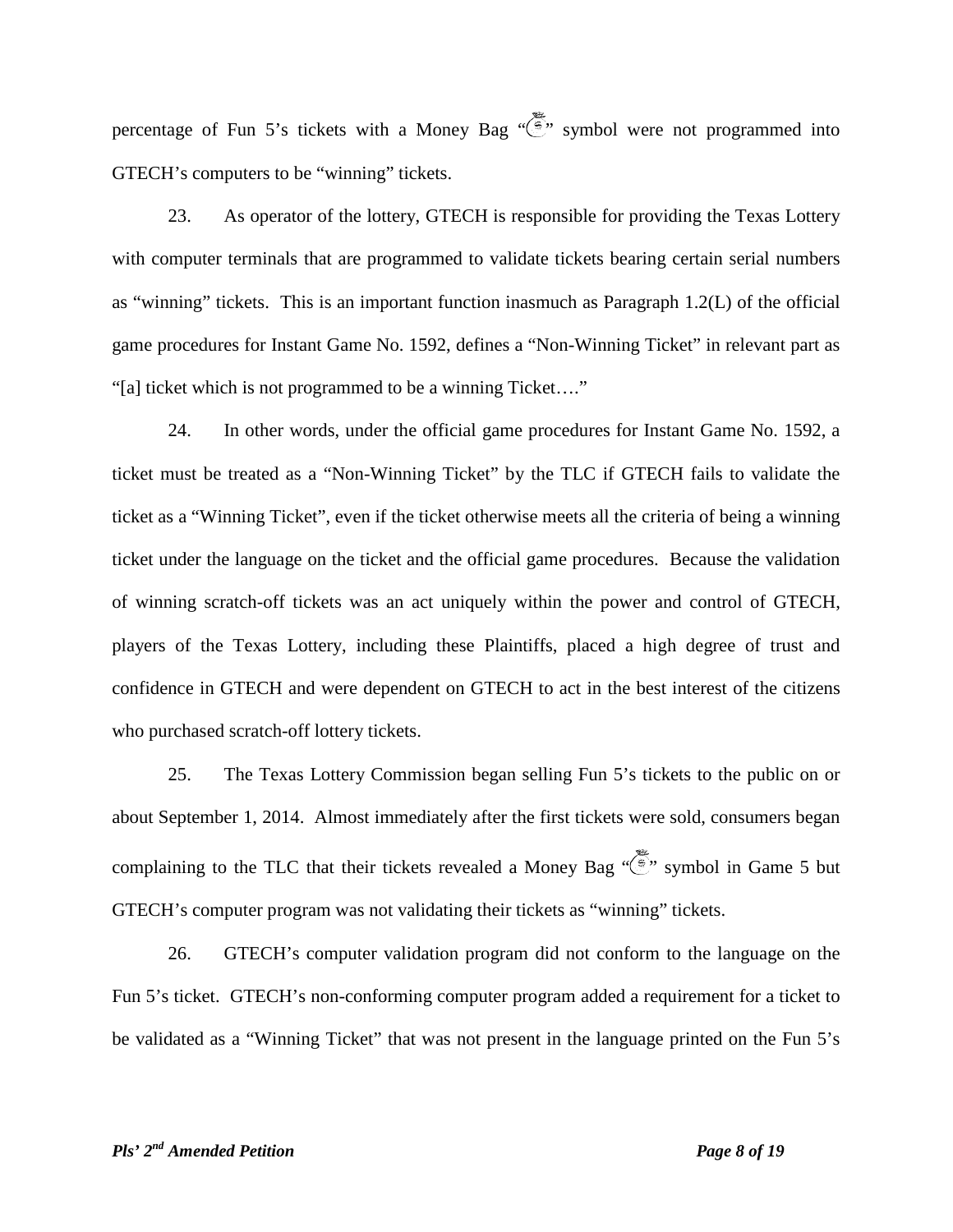percentage of Fun 5's tickets with a Money Bag "
" symbol were not programmed into GTECH's computers to be "winning" tickets.

23. As operator of the lottery, GTECH is responsible for providing the Texas Lottery with computer terminals that are programmed to validate tickets bearing certain serial numbers as "winning" tickets. This is an important function inasmuch as Paragraph 1.2(L) of the official game procedures for Instant Game No. 1592, defines a "Non-Winning Ticket" in relevant part as "[a] ticket which is not programmed to be a winning Ticket…."

24. In other words, under the official game procedures for Instant Game No. 1592, a ticket must be treated as a "Non-Winning Ticket" by the TLC if GTECH fails to validate the ticket as a "Winning Ticket", even if the ticket otherwise meets all the criteria of being a winning ticket under the language on the ticket and the official game procedures. Because the validation of winning scratch-off tickets was an act uniquely within the power and control of GTECH, players of the Texas Lottery, including these Plaintiffs, placed a high degree of trust and confidence in GTECH and were dependent on GTECH to act in the best interest of the citizens who purchased scratch-off lottery tickets.

25. The Texas Lottery Commission began selling Fun 5's tickets to the public on or about September 1, 2014. Almost immediately after the first tickets were sold, consumers began complaining to the TLC that their tickets revealed a Money Bag  $\sqrt{\frac{2}{5}}$ , symbol in Game 5 but GTECH's computer program was not validating their tickets as "winning" tickets.

26. GTECH's computer validation program did not conform to the language on the Fun 5's ticket. GTECH's non-conforming computer program added a requirement for a ticket to be validated as a "Winning Ticket" that was not present in the language printed on the Fun 5's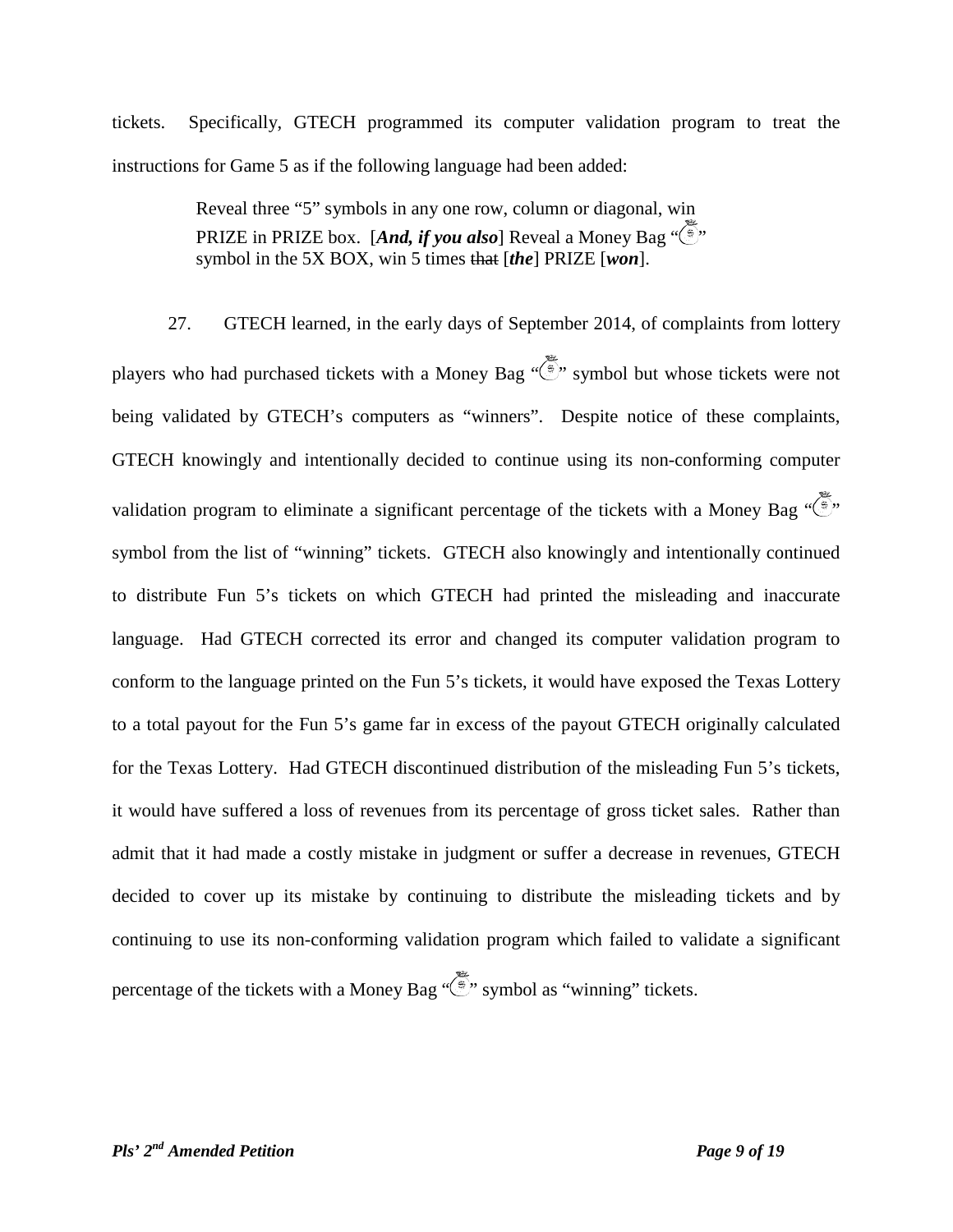tickets. Specifically, GTECH programmed its computer validation program to treat the instructions for Game 5 as if the following language had been added:

> Reveal three "5" symbols in any one row, column or diagonal, win PRIZE in PRIZE box. [*And, if you also*] Reveal a Money Bag "  $\left(\frac{a}{2}\right)$ " symbol in the 5X BOX, win 5 times that [*the*] PRIZE [*won*].

27. GTECH learned, in the early days of September 2014, of complaints from lottery players who had purchased tickets with a Money Bag  $\widetilde{\mathbb{S}}$  symbol but whose tickets were not being validated by GTECH's computers as "winners". Despite notice of these complaints, GTECH knowingly and intentionally decided to continue using its non-conforming computer validation program to eliminate a significant percentage of the tickets with a Money Bag " $\overline{\mathbb{R}}$ " symbol from the list of "winning" tickets. GTECH also knowingly and intentionally continued to distribute Fun 5's tickets on which GTECH had printed the misleading and inaccurate language. Had GTECH corrected its error and changed its computer validation program to conform to the language printed on the Fun 5's tickets, it would have exposed the Texas Lottery to a total payout for the Fun 5's game far in excess of the payout GTECH originally calculated for the Texas Lottery. Had GTECH discontinued distribution of the misleading Fun 5's tickets, it would have suffered a loss of revenues from its percentage of gross ticket sales. Rather than admit that it had made a costly mistake in judgment or suffer a decrease in revenues, GTECH decided to cover up its mistake by continuing to distribute the misleading tickets and by continuing to use its non-conforming validation program which failed to validate a significant percentage of the tickets with a Money Bag  $\sqrt{\frac{2}{3}}$ , symbol as "winning" tickets.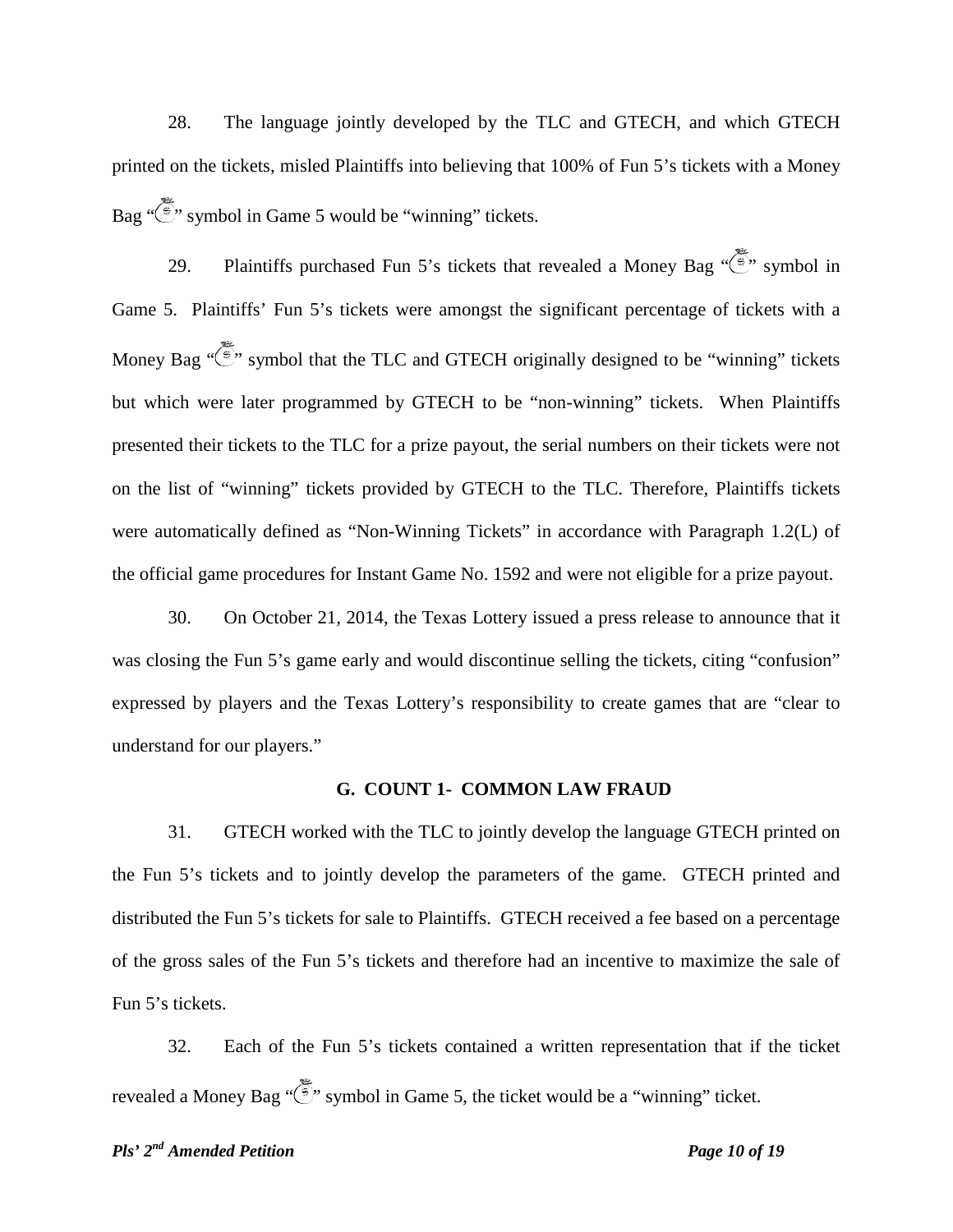28. The language jointly developed by the TLC and GTECH, and which GTECH printed on the tickets, misled Plaintiffs into believing that 100% of Fun 5's tickets with a Money Bag  $\sqrt{\frac{2}{3}}$  symbol in Game 5 would be "winning" tickets.

29. Plaintiffs purchased Fun 5's tickets that revealed a Money Bag  $\sqrt{\frac{2}{3}}$ , symbol in Game 5. Plaintiffs' Fun 5's tickets were amongst the significant percentage of tickets with a Money Bag  $\sqrt{\epsilon}$  symbol that the TLC and GTECH originally designed to be "winning" tickets but which were later programmed by GTECH to be "non-winning" tickets. When Plaintiffs presented their tickets to the TLC for a prize payout, the serial numbers on their tickets were not on the list of "winning" tickets provided by GTECH to the TLC. Therefore, Plaintiffs tickets were automatically defined as "Non-Winning Tickets" in accordance with Paragraph 1.2(L) of the official game procedures for Instant Game No. 1592 and were not eligible for a prize payout.

30. On October 21, 2014, the Texas Lottery issued a press release to announce that it was closing the Fun 5's game early and would discontinue selling the tickets, citing "confusion" expressed by players and the Texas Lottery's responsibility to create games that are "clear to understand for our players."

#### **G. COUNT 1- COMMON LAW FRAUD**

31. GTECH worked with the TLC to jointly develop the language GTECH printed on the Fun 5's tickets and to jointly develop the parameters of the game. GTECH printed and distributed the Fun 5's tickets for sale to Plaintiffs. GTECH received a fee based on a percentage of the gross sales of the Fun 5's tickets and therefore had an incentive to maximize the sale of Fun 5's tickets.

32. Each of the Fun 5's tickets contained a written representation that if the ticket revealed a Money Bag " $\langle \overline{\hat{\cdot}}, \rangle$ " symbol in Game 5, the ticket would be a "winning" ticket.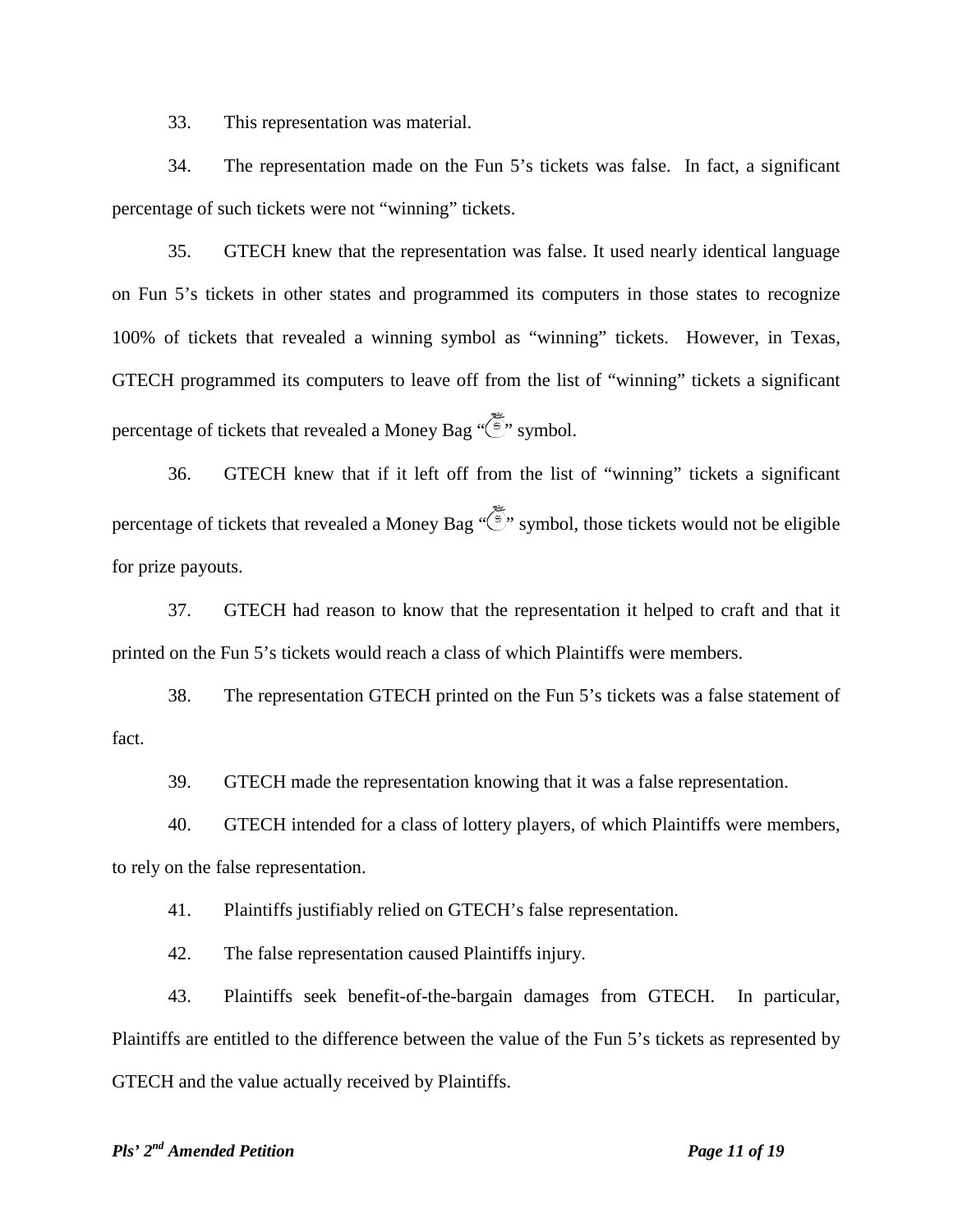33. This representation was material.

34. The representation made on the Fun 5's tickets was false. In fact, a significant percentage of such tickets were not "winning" tickets.

35. GTECH knew that the representation was false. It used nearly identical language on Fun 5's tickets in other states and programmed its computers in those states to recognize 100% of tickets that revealed a winning symbol as "winning" tickets. However, in Texas, GTECH programmed its computers to leave off from the list of "winning" tickets a significant percentage of tickets that revealed a Money Bag " " symbol.

36. GTECH knew that if it left off from the list of "winning" tickets a significant percentage of tickets that revealed a Money Bag "  $\ddot{\hat{\xi}}$ " symbol, those tickets would not be eligible for prize payouts.

37. GTECH had reason to know that the representation it helped to craft and that it printed on the Fun 5's tickets would reach a class of which Plaintiffs were members.

38. The representation GTECH printed on the Fun 5's tickets was a false statement of fact.

39. GTECH made the representation knowing that it was a false representation.

40. GTECH intended for a class of lottery players, of which Plaintiffs were members, to rely on the false representation.

41. Plaintiffs justifiably relied on GTECH's false representation.

42. The false representation caused Plaintiffs injury.

43. Plaintiffs seek benefit-of-the-bargain damages from GTECH. In particular, Plaintiffs are entitled to the difference between the value of the Fun 5's tickets as represented by GTECH and the value actually received by Plaintiffs.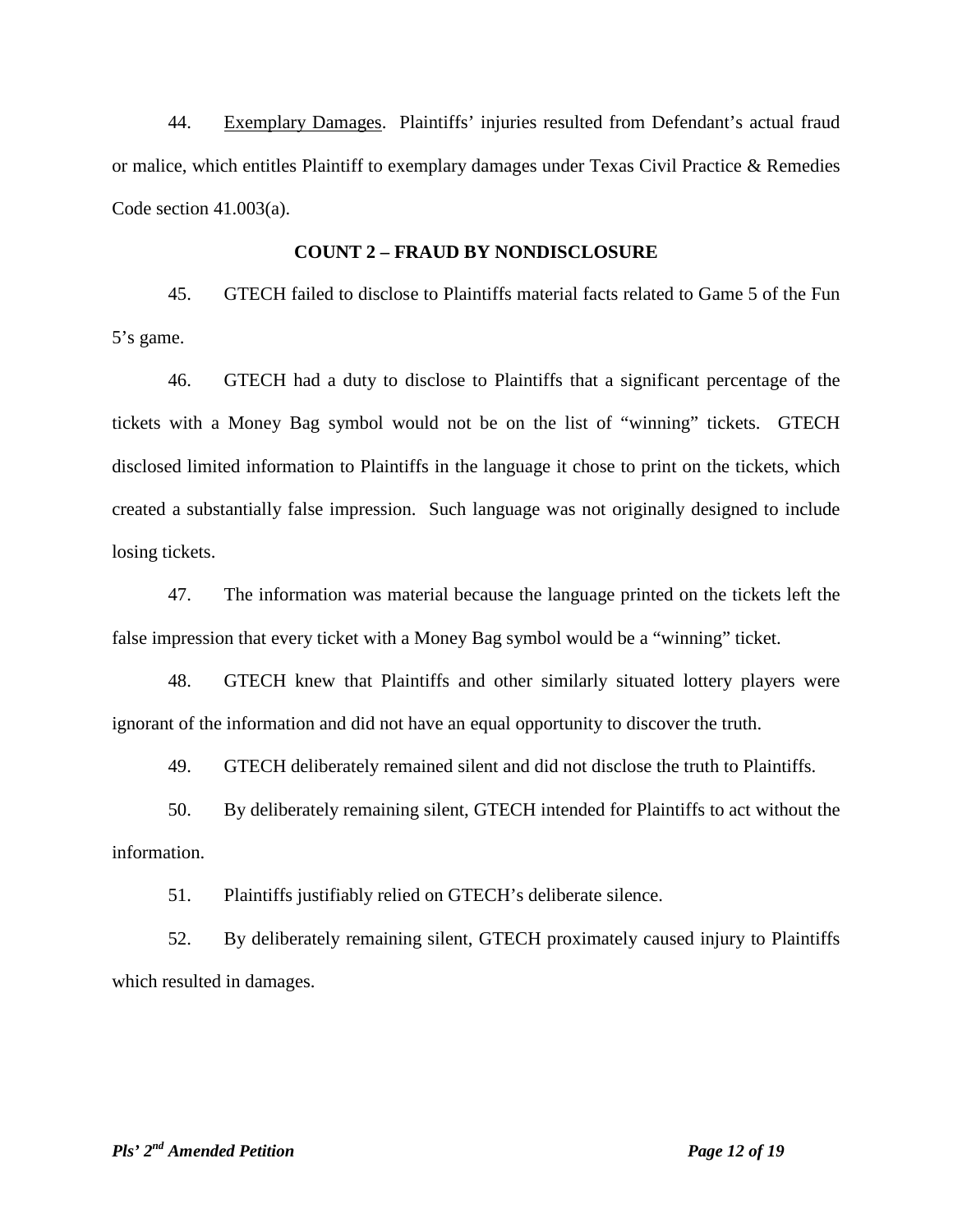44. Exemplary Damages. Plaintiffs' injuries resulted from Defendant's actual fraud or malice, which entitles Plaintiff to exemplary damages under Texas Civil Practice & Remedies Code section 41.003(a).

#### **COUNT 2 – FRAUD BY NONDISCLOSURE**

45. GTECH failed to disclose to Plaintiffs material facts related to Game 5 of the Fun 5's game.

46. GTECH had a duty to disclose to Plaintiffs that a significant percentage of the tickets with a Money Bag symbol would not be on the list of "winning" tickets. GTECH disclosed limited information to Plaintiffs in the language it chose to print on the tickets, which created a substantially false impression. Such language was not originally designed to include losing tickets.

47. The information was material because the language printed on the tickets left the false impression that every ticket with a Money Bag symbol would be a "winning" ticket.

48. GTECH knew that Plaintiffs and other similarly situated lottery players were ignorant of the information and did not have an equal opportunity to discover the truth.

49. GTECH deliberately remained silent and did not disclose the truth to Plaintiffs.

50. By deliberately remaining silent, GTECH intended for Plaintiffs to act without the information.

51. Plaintiffs justifiably relied on GTECH's deliberate silence.

52. By deliberately remaining silent, GTECH proximately caused injury to Plaintiffs which resulted in damages.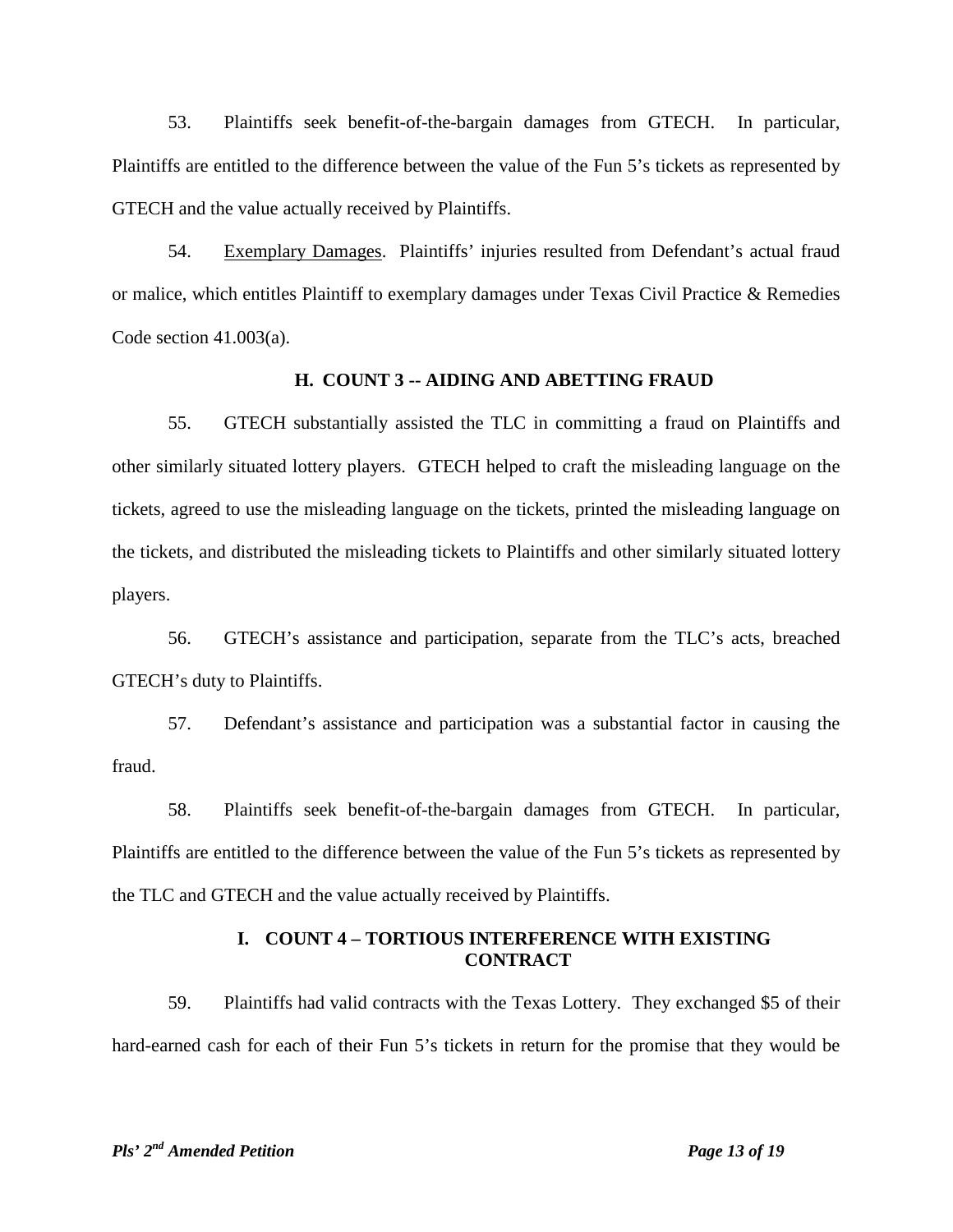53. Plaintiffs seek benefit-of-the-bargain damages from GTECH. In particular, Plaintiffs are entitled to the difference between the value of the Fun 5's tickets as represented by GTECH and the value actually received by Plaintiffs.

54. Exemplary Damages. Plaintiffs' injuries resulted from Defendant's actual fraud or malice, which entitles Plaintiff to exemplary damages under Texas Civil Practice & Remedies Code section 41.003(a).

## **H. COUNT 3 -- AIDING AND ABETTING FRAUD**

55. GTECH substantially assisted the TLC in committing a fraud on Plaintiffs and other similarly situated lottery players. GTECH helped to craft the misleading language on the tickets, agreed to use the misleading language on the tickets, printed the misleading language on the tickets, and distributed the misleading tickets to Plaintiffs and other similarly situated lottery players.

56. GTECH's assistance and participation, separate from the TLC's acts, breached GTECH's duty to Plaintiffs.

57. Defendant's assistance and participation was a substantial factor in causing the fraud.

58. Plaintiffs seek benefit-of-the-bargain damages from GTECH. In particular, Plaintiffs are entitled to the difference between the value of the Fun 5's tickets as represented by the TLC and GTECH and the value actually received by Plaintiffs.

#### **I. COUNT 4 – TORTIOUS INTERFERENCE WITH EXISTING CONTRACT**

59. Plaintiffs had valid contracts with the Texas Lottery. They exchanged \$5 of their hard-earned cash for each of their Fun 5's tickets in return for the promise that they would be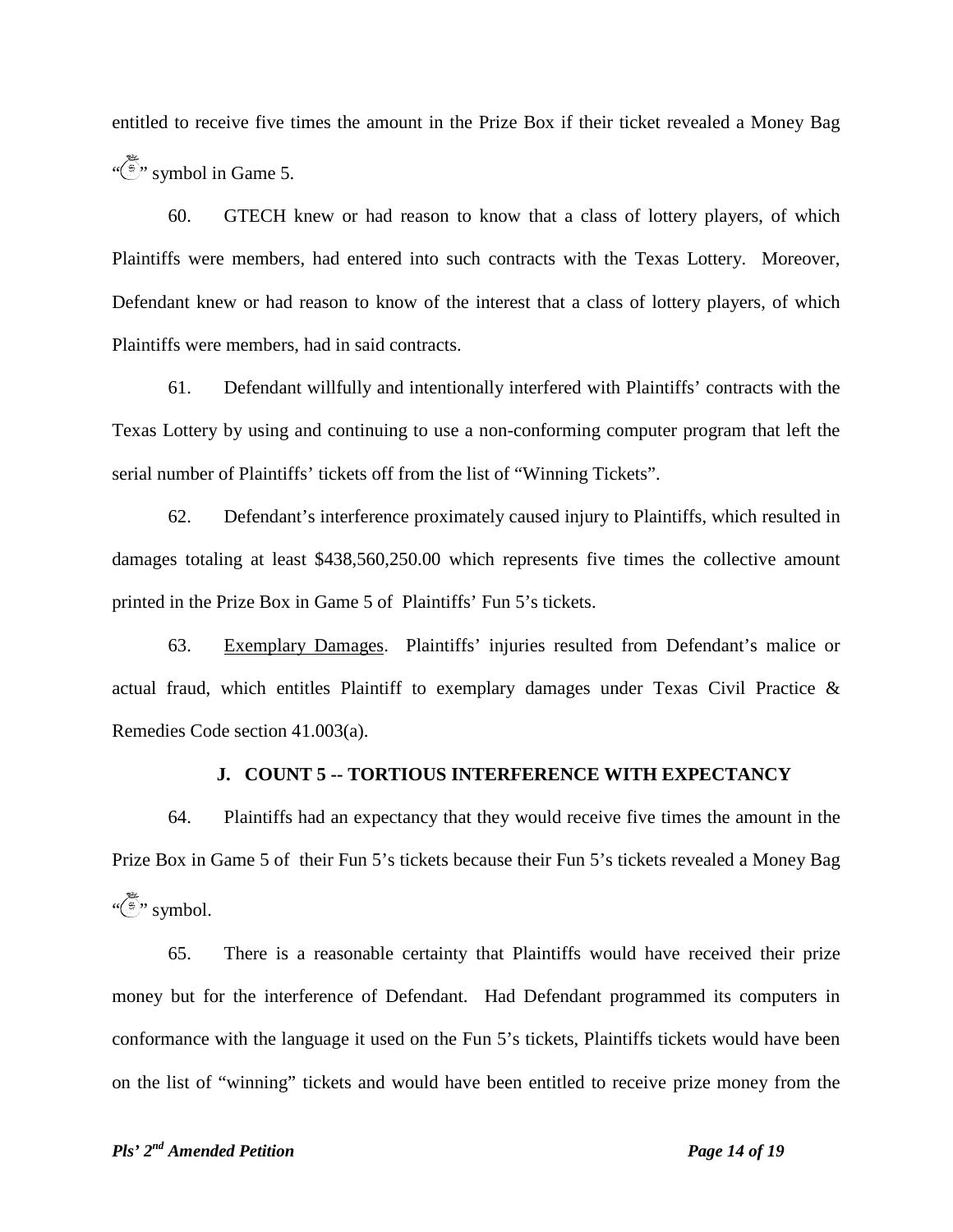entitled to receive five times the amount in the Prize Box if their ticket revealed a Money Bag " $\sum_{i=1}^{\infty}$ " symbol in Game 5.

60. GTECH knew or had reason to know that a class of lottery players, of which Plaintiffs were members, had entered into such contracts with the Texas Lottery. Moreover, Defendant knew or had reason to know of the interest that a class of lottery players, of which Plaintiffs were members, had in said contracts.

61. Defendant willfully and intentionally interfered with Plaintiffs' contracts with the Texas Lottery by using and continuing to use a non-conforming computer program that left the serial number of Plaintiffs' tickets off from the list of "Winning Tickets".

62. Defendant's interference proximately caused injury to Plaintiffs, which resulted in damages totaling at least \$438,560,250.00 which represents five times the collective amount printed in the Prize Box in Game 5 of Plaintiffs' Fun 5's tickets.

63. Exemplary Damages. Plaintiffs' injuries resulted from Defendant's malice or actual fraud, which entitles Plaintiff to exemplary damages under Texas Civil Practice & Remedies Code section 41.003(a).

# **J. COUNT 5 -- TORTIOUS INTERFERENCE WITH EXPECTANCY**

64. Plaintiffs had an expectancy that they would receive five times the amount in the Prize Box in Game 5 of their Fun 5's tickets because their Fun 5's tickets revealed a Money Bag  $\sqrt{\frac{2}{3}}$ " symbol.

65. There is a reasonable certainty that Plaintiffs would have received their prize money but for the interference of Defendant. Had Defendant programmed its computers in conformance with the language it used on the Fun 5's tickets, Plaintiffs tickets would have been on the list of "winning" tickets and would have been entitled to receive prize money from the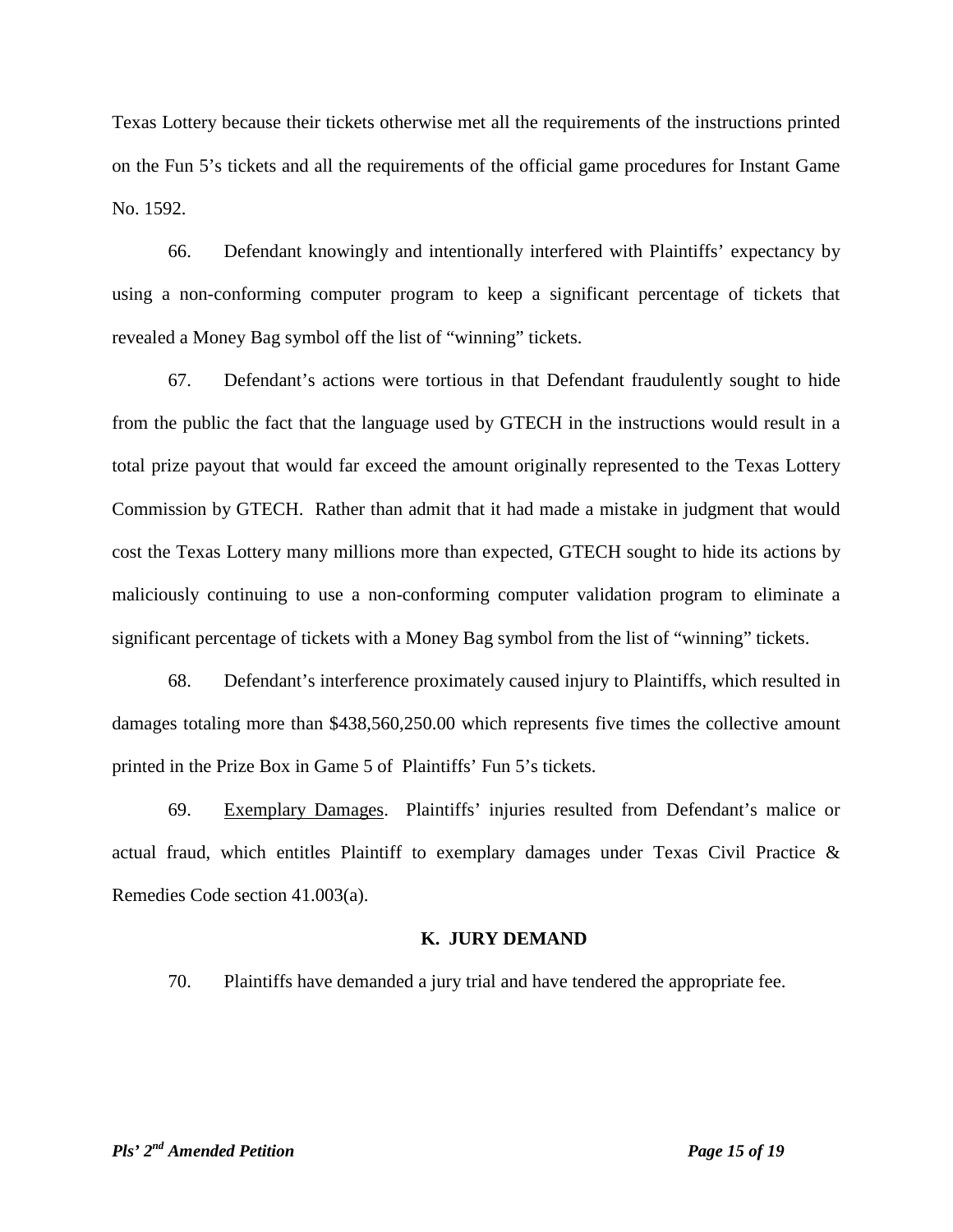Texas Lottery because their tickets otherwise met all the requirements of the instructions printed on the Fun 5's tickets and all the requirements of the official game procedures for Instant Game No. 1592.

66. Defendant knowingly and intentionally interfered with Plaintiffs' expectancy by using a non-conforming computer program to keep a significant percentage of tickets that revealed a Money Bag symbol off the list of "winning" tickets.

67. Defendant's actions were tortious in that Defendant fraudulently sought to hide from the public the fact that the language used by GTECH in the instructions would result in a total prize payout that would far exceed the amount originally represented to the Texas Lottery Commission by GTECH. Rather than admit that it had made a mistake in judgment that would cost the Texas Lottery many millions more than expected, GTECH sought to hide its actions by maliciously continuing to use a non-conforming computer validation program to eliminate a significant percentage of tickets with a Money Bag symbol from the list of "winning" tickets.

68. Defendant's interference proximately caused injury to Plaintiffs, which resulted in damages totaling more than \$438,560,250.00 which represents five times the collective amount printed in the Prize Box in Game 5 of Plaintiffs' Fun 5's tickets.

69. Exemplary Damages. Plaintiffs' injuries resulted from Defendant's malice or actual fraud, which entitles Plaintiff to exemplary damages under Texas Civil Practice & Remedies Code section 41.003(a).

#### **K. JURY DEMAND**

70. Plaintiffs have demanded a jury trial and have tendered the appropriate fee.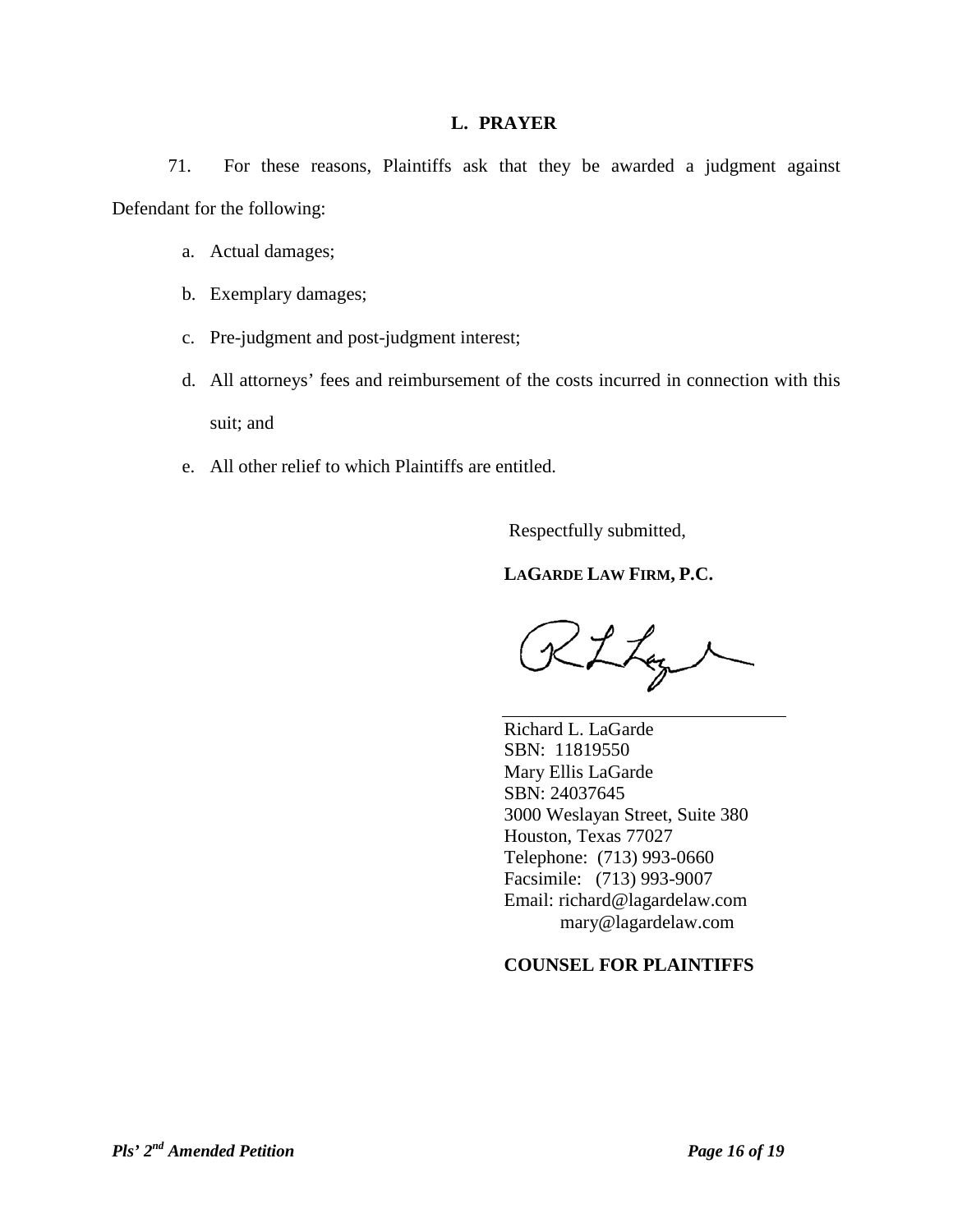## **L. PRAYER**

71. For these reasons, Plaintiffs ask that they be awarded a judgment against Defendant for the following:

- a. Actual damages;
- b. Exemplary damages;
- c. Pre-judgment and post-judgment interest;
- d. All attorneys' fees and reimbursement of the costs incurred in connection with this suit; and
- e. All other relief to which Plaintiffs are entitled.

Respectfully submitted,

# **LAGARDE LAW FIRM, P.C.**

RLLay

Richard L. LaGarde SBN: 11819550 Mary Ellis LaGarde SBN: 24037645 3000 Weslayan Street, Suite 380 Houston, Texas 77027 Telephone: (713) 993-0660 Facsimile: (713) 993-9007 Email: richard@lagardelaw.com mary@lagardelaw.com

# **COUNSEL FOR PLAINTIFFS**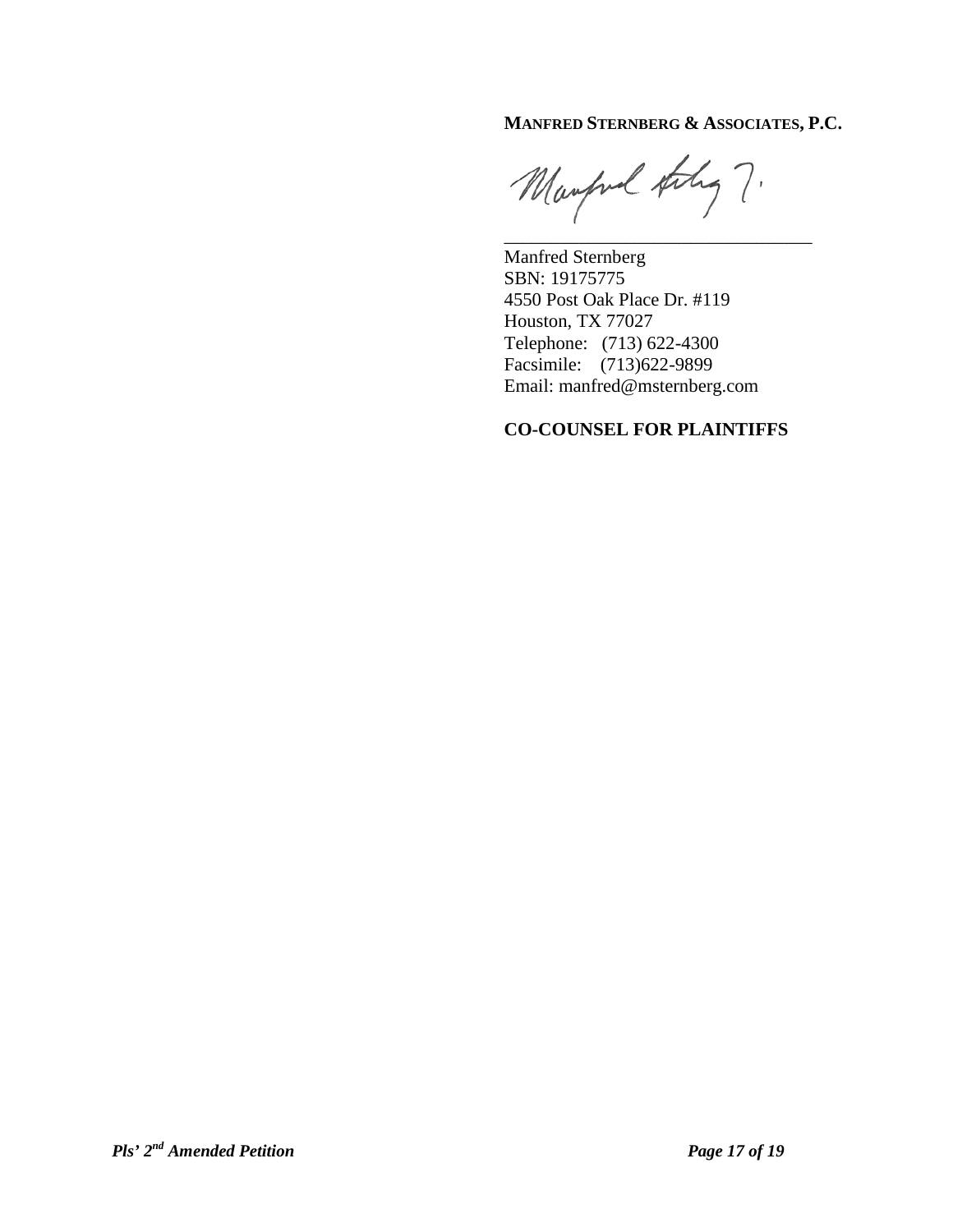# **MANFRED STERNBERG & ASSOCIATES, P.C.**

Manford they ?.

\_\_\_\_\_\_\_\_\_\_\_\_\_\_\_\_\_\_\_\_\_\_\_\_\_\_\_\_\_\_\_\_\_

Manfred Sternberg SBN: 19175775 4550 Post Oak Place Dr. #119 Houston, TX 77027 Telephone: (713) 622-4300 Facsimile: (713)622-9899 Email: [manfred@msternberg.com](mailto:manfred@msternberg.com)

# **CO-COUNSEL FOR PLAINTIFFS**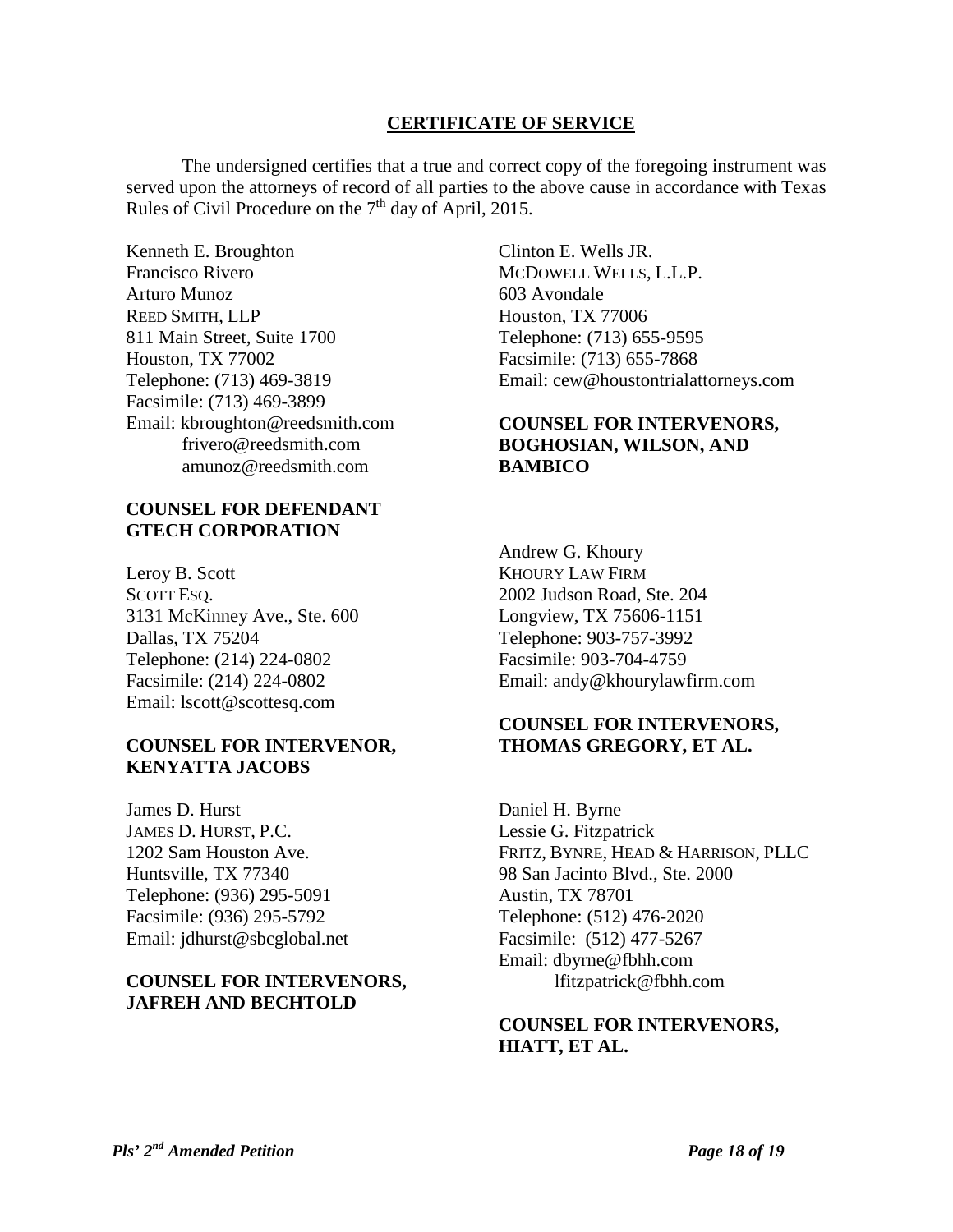## **CERTIFICATE OF SERVICE**

The undersigned certifies that a true and correct copy of the foregoing instrument was served upon the attorneys of record of all parties to the above cause in accordance with Texas Rules of Civil Procedure on the  $7<sup>th</sup>$  day of April, 2015.

Kenneth E. Broughton Francisco Rivero Arturo Munoz REED SMITH, LLP 811 Main Street, Suite 1700 Houston, TX 77002 Telephone: (713) 469-3819 Facsimile: (713) 469-3899 Email: [kbroughton@reedsmith.com](mailto:kbroughton@reedsmith.com) [frivero@reedsmith.com](mailto:frivero@reedsmith.com) [amunoz@reedsmith.com](mailto:amunoz@reedsmith.com)

## **COUNSEL FOR DEFENDANT GTECH CORPORATION**

Leroy B. Scott SCOTT ESQ. 3131 McKinney Ave., Ste. 600 Dallas, TX 75204 Telephone: (214) 224-0802 Facsimile: (214) 224-0802 Email: lscott@scottesq.com

# **COUNSEL FOR INTERVENOR, KENYATTA JACOBS**

James D. Hurst JAMES D. HURST, P.C. 1202 Sam Houston Ave. Huntsville, TX 77340 Telephone: (936) 295-5091 Facsimile: (936) 295-5792 Email: jdhurst@sbcglobal.net

# **COUNSEL FOR INTERVENORS, JAFREH AND BECHTOLD**

Clinton E. Wells JR. MCDOWELL WELLS, L.L.P. 603 Avondale Houston, TX 77006 Telephone: (713) 655-9595 Facsimile: (713) 655-7868 Email: cew@houstontrialattorneys.com

# **COUNSEL FOR INTERVENORS, BOGHOSIAN, WILSON, AND BAMBICO**

Andrew G. Khoury KHOURY LAW FIRM 2002 Judson Road, Ste. 204 Longview, TX 75606-1151 Telephone: 903-757-3992 Facsimile: 903-704-4759 Email: andy@khourylawfirm.com

# **COUNSEL FOR INTERVENORS, THOMAS GREGORY, ET AL.**

Daniel H. Byrne Lessie G. Fitzpatrick FRITZ, BYNRE, HEAD & HARRISON, PLLC 98 San Jacinto Blvd., Ste. 2000 Austin, TX 78701 Telephone: (512) 476-2020 Facsimile: (512) 477-5267 Email: dbyrne@fbhh.com lfitzpatrick@fbhh.com

## **COUNSEL FOR INTERVENORS, HIATT, ET AL.**